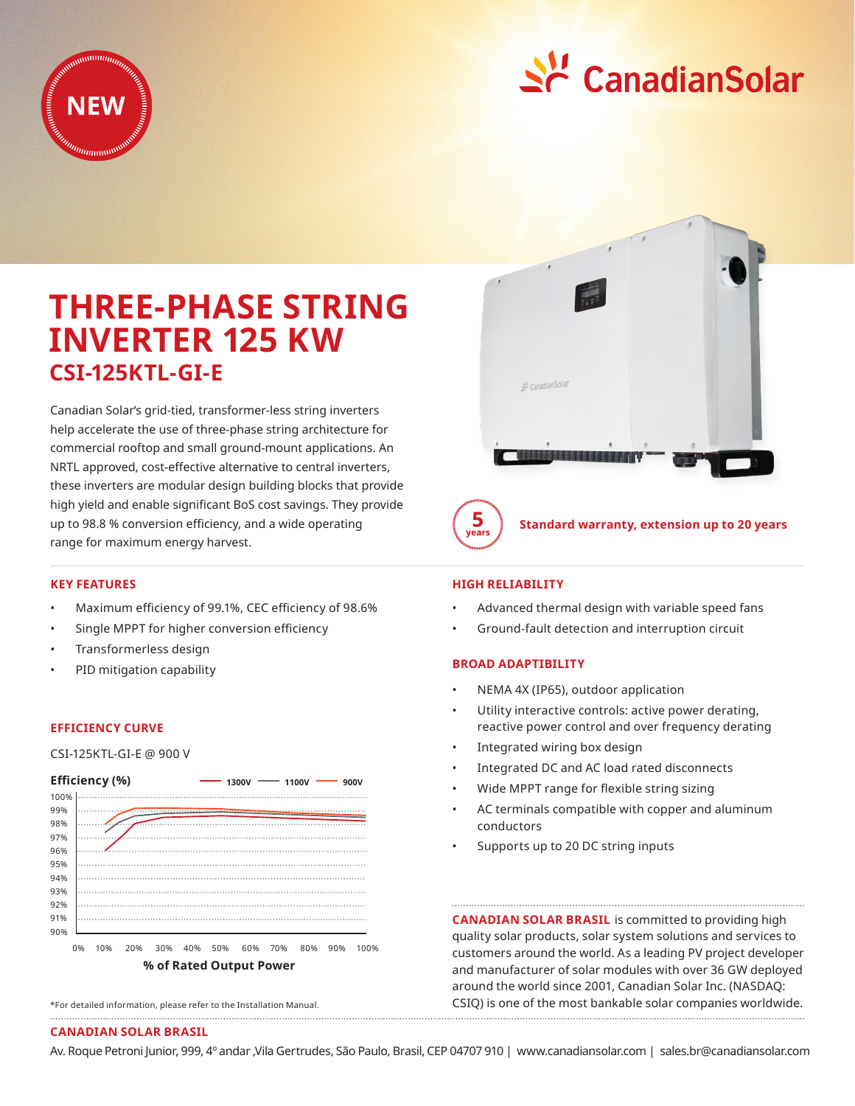



# **THREE-PHASE STRING INVERTER 125 KW CSI-125KTL-GI-E**

Canadian Solar's grid-tied, transformer-less string inverters help accelerate the use of three-phase string architecture for commercial rooftop and small ground-mount applications. An NRTL approved, cost-effective alternative to central inverters, these inverters are modular design building blocks that provide high yield and enable significant BoS cost savings. They provide up to 98.8 % conversion efficiency, and a wide operating range for maximum energy harvest.



**Standard warranty, extension up to 20 years**

## **KEY FEATURES**

- Maximum efficiency of 99.1%, CEC efficiency of 98.6%
- Single MPPT for higher conversion efficiency
- Transformerless design
- PID mitigation capability

#### **EFFICIENCY CURVE**

CSI-125KTL-GI-E @ 900 V



<sup>\*</sup>For detailed information, please refer to the Installation Manual.

### **HIGH RELIABILITY**

- Advanced thermal design with variable speed fans
- Ground-fault detection and interruption circuit

#### **BROAD ADAPTIBILITY**

- NEMA 4X (IP65), outdoor application
- Utility interactive controls: active power derating, reactive power control and over frequency derating
- Integrated wiring box design
- Integrated DC and AC load rated disconnects
- Wide MPPT range for flexible string sizing
- AC terminals compatible with copper and aluminum conductors
- Supports up to 20 DC string inputs

**CANADIAN SOLAR BRASIL** is committed to providing high quality solar products, solar system solutions and services to customers around the world. As a leading PV project developer and manufacturer of solar modules with over 36 GW deployed around the world since 2001, Canadian Solar Inc. (NASDAQ: CSIQ) is one of the most bankable solar companies worldwide.

### **CANADIAN SOLAR BRASIL**

Av. Roque Petroni Junior, 999, 4º andar ,Vila Gertrudes, São Paulo, Brasil, CEP 04707 910 | www.canadiansolar.com | sales.br@canadiansolar.com